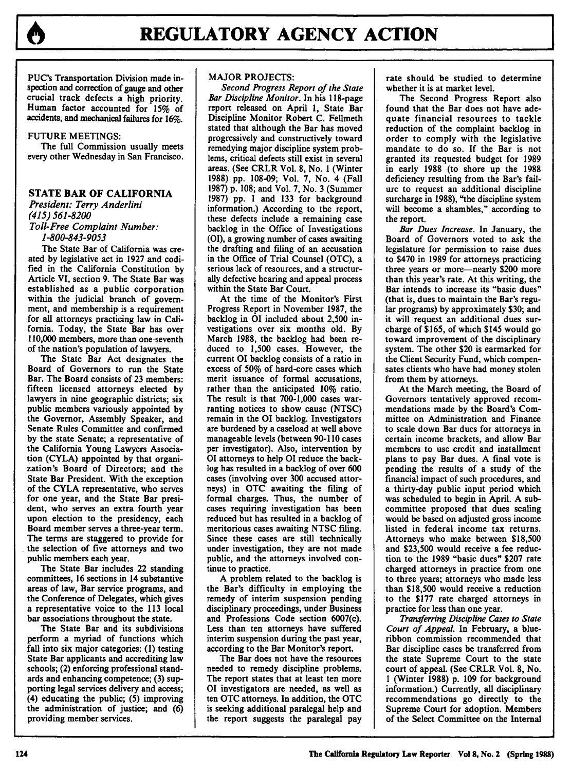

PUC's Transportation Division made inspection and correction of gauge and other crucial track defects a high priority. Human factor accounted for **15%** of accidents, and mechanical failures for **16%.**

### **FUTURE** MEETINGS:

The full Commission usually meets every other Wednesday in San Francisco.

# **STATE BAR OF CALIFORNIA**

*President: Terry Anderlini (415) 561-8200 Toll-Free Complaint Number: 1-800-843-9053*

The State Bar of California was created by legislative act in 1927 and codified in the California Constitution by Article VI, section 9. The State Bar was established as a public corporation within the judicial branch of government, and membership is a requirement for all attorneys practicing law in California. Today, the State Bar has over 110,000 members, more than one-seventh of the nation's population of lawyers.

The State Bar Act designates the Board of Governors to run the State Bar. The Board consists of 23 members: fifteen licensed attorneys elected by lawyers in nine geographic districts; six public members variously appointed by the Governor, Assembly Speaker, and Senate Rules Committee and confirmed by the state Senate; a representative of the California Young Lawyers Association (CYLA) appointed by that organization's Board of Directors; and the State Bar President. With the exception of the CYLA representative, who serves for one year, and the State Bar president, who serves an extra fourth year upon election to the presidency, each Board member serves a three-year term. The terms are staggered to provide for the selection of five attorneys and two public members each year.

The State Bar includes 22 standing committees, 16 sections in 14 substantive areas of law, Bar service programs, and the Conference of Delegates, which gives a representative voice to the 113 local bar associations throughout the state.

The State Bar and its subdivisions perform a myriad of functions which fall into six major categories: (1) testing State Bar applicants and accrediting law schools; (2) enforcing professional standards and enhancing competence; (3) supporting legal services delivery and access; (4) educating the public; (5) improving the administration of justice; and (6) providing member services.

## MAJOR **PROJECTS:**

*Second Progress Report of the State Bar Discipline Monitor.* In his 118-page report released on April 1, State Bar Discipline Monitor Robert C. Fellmeth stated that although the Bar has moved progressively and constructively toward remedying major discipline system problems, critical defects still exist in several areas. (See CRLR Vol. 8, No. 1 (Winter **1988)** pp. 108-09; Vol. 7, No. 4 (Fall 1987) **p.** 108; and Vol. 7, No. 3 (Summer 1987) pp. **I** and 133 for background information.) According to the report, these defects include a remaining case backlog in the Office of Investigations **(01),** a growing number of cases awaiting the drafting and filing of an accusation in the Office of Trial Counsel (OTC), a serious lack of resources, and a structurally defective hearing and appeal process within the State Bar Court.

At the time of the Monitor's First Progress Report in November 1987, the backlog in **01** included about 2,500 investigations over six months old. By March 1988, the backlog had been reduced to 1,500 cases. However, the current 01 backlog consists of a ratio in excess of **50%** of hard-core cases which merit issuance of formal accusations, rather than the anticipated **10%** ratio. The result is that 700-1,000 cases warranting notices to show cause (NTSC) remain in the 01 backlog. Investigators are burdened by a caseload at well above manageable levels (between 90-110 cases per investigator). Also, intervention by 01 attorneys to help 01 reduce the backlog has resulted in a backlog of over 600 cases (involving over 300 accused attorneys) in OTC awaiting the filing of formal charges. Thus, the number of cases requiring investigation has been reduced but has resulted in a backlog of meritorious cases awaiting NTSC filing. Since these cases are still technically under investigation, they are not made public, and the attorneys involved continue to practice.

A problem related to the backlog is the Bar's difficulty in employing the remedy of interim suspension pending disciplinary proceedings, under Business and Professions Code section 6007(c). Less than ten attorneys have suffered interim suspension during the past year, according to the Bar Monitor's report.

The Bar does not have the resources needed to remedy discipline problems. The report states that at least ten more 01 investigators are needed, as well as ten OTC attorneys. In addition, the OTC is seeking additional paralegal help and the report suggests the paralegal pay rate should be studied to determine whether it is at market level.

The Second Progress Report also found that the Bar does not have adequate financial resources to tackle reduction of the complaint backlog in order to comply with the legislative mandate to do so. If the Bar is not granted its requested budget for 1989 in early 1988 (to shore up the 1988 deficiency resulting from the Bar's failure to request an additional discipline surcharge in 1988), "the discipline system will become a shambles," according to the report.

*Bar Dues Increase.* In January, the Board of Governors voted to ask the legislature for permission to raise dues to \$470 in **1989** for attorneys practicing three years or more-nearly \$200 more than this year's rate. At this writing, the Bar intends to increase its "basic dues" (that is, dues to maintain the Bar's regular programs) **by** approximately **\$30;** and it will request an additional dues surcharge of **\$165,** of which \$145 would go toward improvement of the disciplinary system. The other \$20 is earmarked for the Client Security Fund, which compensates clients who have had money stolen from them **by** attorneys.

At the March meeting, the Board of Governors tentatively approved recommendations made by the Board's Committee on Administration and Finance to scale down Bar dues for attorneys in certain income brackets, and allow Bar members to use credit and installment plans to pay Bar dues. A final vote is pending the results of a study of the financial impact of such procedures, and a thirty-day public input period which was scheduled to begin in April. A subcommittee proposed that dues scaling would be based on adjusted gross income listed in federal income tax returns. Attorneys who make between \$18,500 and \$23,500 would receive a fee reduction to the 1989 "basic dues" \$207 rate charged attorneys in practice from one to three years; attorneys who made less than \$18,500 would receive a reduction to the \$177 rate charged attorneys in practice for less than one year.

*Transferring Discipline Cases to State Court of Appeal.* In February, a blueribbon commission recommended that Bar discipline cases be transferred from the state Supreme Court to the state court of appeal. (See CRLR Vol. **8,** No. **I** (Winter 1988) p. 109 for background information.) Currently, all disciplinary recommendations go directly to the Supreme Court for adoption. Members of the Select Committee on the Internal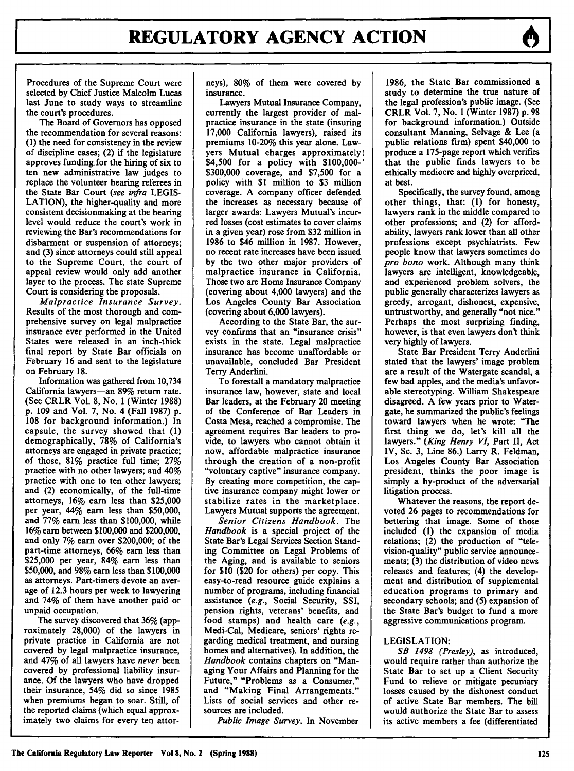Procedures of the Supreme Court were selected **by** Chief Justice Malcolm Lucas last June to study ways to streamline the court's procedures.

The Board of Governors has opposed the recommendation for several reasons: **(1)** the need for consistency in the review of discipline cases; (2) if the legislature approves funding for the hiring of six to ten new administrative law judges to replace the volunteer hearing referees in the State Bar Court *(see infra* **LEGIS-LATION),** the higher-quality and more consistent decisionmaking at the hearing level would reduce the court's work in reviewing the Bar's recommendations for disbarment or suspension of attorneys; and **(3)** since attorneys could still appeal to the Supreme Court, the court of appeal review would only add another layer to the process. The state Supreme Court is considering the proposals.

*Malpractice Insurance Survey.* Results of the most thorough and comprehensive survey on legal malpractice insurance ever performed in the United States were released in an inch-thick final report **by** State Bar officials on February **16** and sent to the legislature on February **18.**

Information was gathered from 10,734 California lawyers-an **89%** return rate. (See CRLR Vol. **8,** No. **1** (Winter **1988) p. 109** and Vol. **7,** No. 4 (Fall **1987) p. 108** for background information.) In capsule, the survey showed that **(I)** demographically, **78%** of California's attorneys are engaged in private practice; of those, **81%** practice full time; **27%** practice with no other lawyers; and 40% practice with one to ten other lawyers; and (2) economically, of the full-time attorneys, **16%** earn less than **\$25,000** per year, 44% earn less than **\$50,000,** and **77%** earn less than **\$100,000,** while **16%** earn between **\$100,000** and \$200,000, and only **7%** earn over \$200,000; of the part-time attorneys, **66%** earn less than **\$25,000** per year, 84% earn less than **\$50,000,** and **98%** earn less than **\$100,000** as attorneys. Part-timers devote an average of **12.3** hours per week to lawyering and 74% of them have another paid or unpaid occupation.

The survey discovered that **36%** (approximately **28,000)** of the lawyers in private practice in California are not covered **by** legal malpractice insurance, and 47% of all lawyers have *never* been covered **by** professional liability insurance. **Of** the lawyers who have dropped their insurance, 54% did so since **1985** when premiums began to soar. Still, of the reported claims (which equal approximately two claims for every ten attorneys), **80%** of them were covered **by** insurance.

Lawyers Mutual Insurance Company, currently the largest provider of malpractice insurance in the state (insuring **17,000** California lawyers), raised its, premiums 10-20% this year alone. Lawyers Mutual charges approximately \$4,500 for a policy with **\$100,000-' \$300,000** coverage, and **\$7,500** for a policy with **\$1** million to **\$3** million coverage. **A** company officer defended the increases as necessary because of larger awards: Lawyers Mutual's incurred losses (cost estimates to cover claims in a given year) rose from **\$32** million in **1986** to \$46 million in **1987.** However, no recent rate increases have been issued **by** the two other major providers of malpractice insurance in California. Those two are Home Insurance Company (covering about 4,000 lawyers) and the Los Angeles County Bar Association (covering about **6,000** lawyers).

According to the State Bar, the survey confirms that an "insurance crisis" exists in the state. Legal malpractice insurance has become unaffordable or unavailable, concluded Bar President Terry Anderlini.

To forestall a mandatory malpractice insurance law, however, state and local Bar leaders, at the February 20 meeting of the Conference of Bar Leaders in Costa Mesa, reached a compromise. The agreement requires Bar leaders to provide, to lawyers who cannot obtain it now, affordable malpractice insurance through the creation of a non-profit "voluntary captive" insurance company. **By** creating more competition, the captive insurance company might lower or stabilize rates in the marketplace. Lawyers Mutual supports the agreement.

*Senior Citizens Handbook.* The *Handbook* is a special project of the State Bar's Legal Services Section Standing Committee on Legal Problems of the Aging, and is available to seniors for **\$10** (\$20 for others) per copy. This easy-to-read resource guide explains a number of programs, including financial assistance *(e.g.,* Social Security, SSI, pension rights, veterans' benefits, and food stamps) and health care *(e.g.,* Medi-Cal, Medicare, seniors' rights regarding medical treatment, and nursing homes and alternatives). In addition, the *Handbook* contains chapters on "Managing Your Affairs and Planning for the Future," "Problems as a Consumer," and "Making Final Arrangements." Lists of social services and other resources are included.

*Public Image Survey.* In November

**1986,** the State Bar commissioned a study to determine the true nature of the legal profession's public image. (See CRLR Vol. **7,** No. **1** (Winter **1987) p. 98** for background information.) Outside consultant Manning, Selvage **&** Lee (a public relations firm) spent \$40,000 to produce a 175-page report which verifies that the public finds lawyers to be ethically mediocre and **highly** overpriced, at best.

Specifically, the survey found, among other things, that: **(1)** for honesty, lawyers rank in the middle compared to other professions; and (2) for affordability, lawyers rank lower than all other professions except psychiatrists. Few people know that lawyers sometimes do *pro bono* work. Although many think lawyers are intelligent, knowledgeable, and experienced problem solvers, the public generally characterizes lawyers as greedy, arrogant, dishonest, expensive, untrustworthy, and generally "not nice." Perhaps the most surprising finding, however, is that even lawyers don't think very **highly** of lawyers.

State Bar President Terry Anderlini stated that the lawyers' image problem are a result of the Watergate scandal, a few bad apples, and the media's unfavorable stereotyping. William Shakespeare disagreed. **A** few years prior to Watergate, he summarized the public's feelings toward lawyers when he wrote: "The first thing we do, let's kill all the lawyers." *(King Henry VI,* Part II, Act IV, Sc. **3,** Line **86.)** Larry R. Feldman, Los Angeles County Bar Association president, thinks the poor image is simply a by-product of the adversarial litigation process.

Whatever the reasons, the report devoted **26** pages to recommendations for bettering that image. Some of those included **(1)** the expansion of media relations; (2) the production of "television-quality" public service announcements; **(3)** the distribution of video news releases and features; (4) the development and distribution of supplemental education programs to primary and secondary schools; and **(5)** expansion of the State Bar's budget to fund a more aggressive communications program.

### **LEGISLATION:**

*SB 1498 (Presley),* as introduced, would require rather than authorize the State Bar to set up a Client Security Fund to relieve or mitigate pecuniary losses caused **by** the dishonest conduct of active State Bar members. The bill would authorize the State Bar to assess its active members a fee (differentiated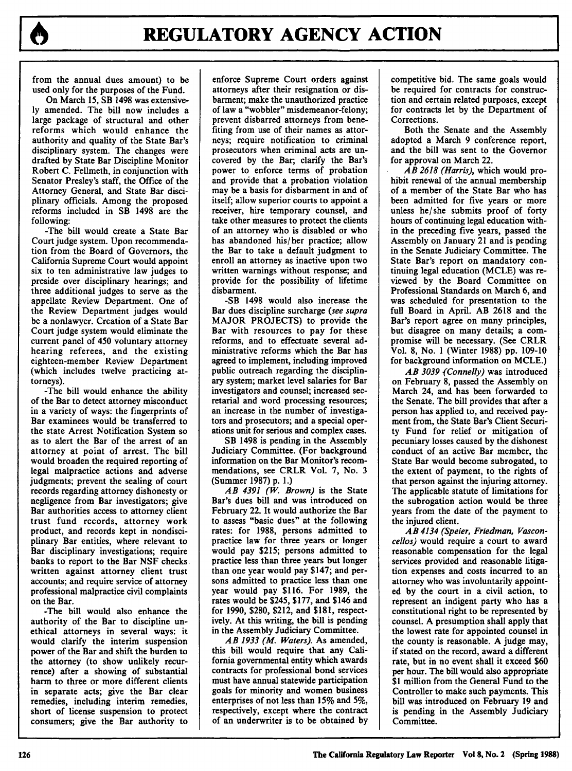from the annual dues amount) to be used only for the purposes of the Fund.

On March **15,** SB 1498 was extensive**ly** amended. The bill now includes a large package of structural and other reforms which would enhance the authority and quality of the State Bar's disciplinary system. The changes were drafted **by** State Bar Discipline Monitor Robert **C.** Fellmeth, in conjunction with Senator Presley's staff, the Office of the Attorney General, and State Bar disciplinary officials. Among the proposed reforms included in SB 1498 are the following:

-The bill would create a State Bar Court judge system. Upon recommendation from the Board of Governors, the California Supreme Court would appoint six to ten administrative law judges to preside over disciplinary hearings; and three additional judges to serve as the appellate Review Department. One of the Review Department judges would be a nonlawyer. Creation of a State Bar Court judge system would eliminate the current panel of 450 voluntary attorney hearing referees, and the existing eighteen-member Review Department (which includes twelve practicing attorneys).

-The bill would enhance the ability of the Bar to detect attorney misconduct in a variety of ways: the fingerprints of Bar examinees would be transferred to the state Arrest Notification System so as to alert the Bar of the arrest of an attorney at point of arrest. The bill would broaden the required reporting of legal malpractice actions and adverse judgments; prevent the sealing of court records regarding attorney dishonesty or negligence from Bar investigators; give Bar authorities access to attorney client trust fund records, attorney work product, and records kept in nondisciplinary Bar entities, where relevant to Bar disciplinary investigations; require banks to report to the Bar **NSF** checks written against attorney client trust accounts; and require service of attorney professional malpractice civil complaints on the Bar.

-The bill would also enhance the authority of the Bar to discipline unethical attorneys in several ways: it would clarify the interim suspension power of the Bar and shift the burden to the attorney (to show unlikely recurrence) after a showing of substantial harm to three or more different clients in separate acts; give the Bar clear remedies, including interim remedies, short of license suspension to protect consumers; give the Bar authority to enforce Supreme Court orders against attorneys after their resignation or disbarment; make the unauthorized practice of law a "wobbler" misdemeanor-felony; prevent disbarred attorneys from benefiting from use of their names as attorneys; require notification to criminal prosecutors when criminal acts are uncovered **by** the Bar; clarify the Bar's power to enforce terms of probation and provide that a probation violation may be a basis for disbarment in and of itself; allow superior courts to appoint a receiver, hire temporary counsel, and take other measures to protect the clients of an attorney who is disabled or who has abandoned his/her practice; allow the Bar to take a default judgment to enroll an attorney as inactive upon two written warnings without response; and provide for the possibility of lifetime disbarment.

-SB 1498 would also increase the Bar dues discipline surcharge *(see supra* MAJOR **PROJECTS)** to provide the Bar with resources to pay for these reforms, and to effectuate several administrative reforms which the Bar has agreed to implement, including improved public outreach regarding the disciplinary system; market level salaries for Bar investigators and counsel; increased secretarial and word processing resources; an increase in the number of investigators and prosecutors; and a special operations unit for serious and complex cases.

SB 1498 is pending in the Assembly Judiciary Committee. (For background information on the Bar Monitor's recommendations, see CRLR Vol. **7,** No. **3** (Summer **1987) p. 1.)**

*AB 4391 (W. Brown)* is the State Bar's dues bill and was introduced on February 22. It would authorize the Bar to assess "basic dues" at the following rates: for **1988,** persons admitted to practice law for three years or longer would pay **\$215;** persons admitted to practice less than three years but longer than one year would pay \$147; and persons admitted to practice less than one year would pay **\$116.** For **1989,** the rates would be \$245, **\$177,** and \$146 and for **1990, \$280,** \$212, and **\$181,** respectively. At this writing, the bill is pending in the Assembly Judiciary Committee.

*AB 1933 (M. Waters).* As amended, this bill would require that any California governmental entity which awards contracts for professional bond services must have annual statewide participation goals for minority and women business enterprises of not less than **15%** and **5%,** respectively, except where the contract of an underwriter is to be obtained **by** competitive bid. The same goals would be required for contracts for construction and certain related purposes, except for contracts let by the Department of Corrections.

Both the Senate and the Assembly adopted a March **9** conference report, and the bill was sent to the Governor for approval on March 22.

*AB 2618 (Harris),* which would prohibit renewal of the annual membership of a member of the State Bar who has been admitted for five years or more unless he/she submits proof of forty hours of continuing legal education within the preceding five years, passed the Assembly on January 21 and is pending in the Senate Judiciary Committee. The State Bar's report on mandatory continuing legal education (MCLE) was reviewed by the Board Committee on Professional Standards on March 6, and was scheduled for presentation to the full Board in April. AB 2618 and the Bar's report agree on many principles, but disagree on many details; a compromise will be necessary. (See CRLR Vol. 8, No. 1 (Winter 1988) pp. 109-10 for background information on MCLE.)

*AB 3039 (Connelly)* was introduced on February 8, passed the Assembly on March 24, and has been forwarded to the Senate. The bill provides that after a person has applied to, and received payment from, the State Bar's Client Security Fund for relief or mitigation of pecuniary losses caused **by** the dishonest conduct of an active Bar member, the State Bar would become subrogated, to the extent of payment, to the rights of that person against the injuring attorney. The applicable statute of limitations for the subrogation action would be three years from the date of the payment to the injured client.

*AB 4134 (Speier, Friedman, Vasconcellos)* would require a court to award reasonable compensation for the legal services provided and reasonable litigation expenses and costs incurred to an attorney who was involuntarily appointed **by** the court in a civil action, to represent an indigent party who has a constitutional right to be represented **by** counsel. **A** presumption shall apply that the lowest rate for appointed counsel in the county is reasonable. **A** judge may, if stated on the record, award a different rate, but in no event shall it exceed **\$60** per hour. The bill would also appropriate **\$1** million from the General Fund to the Controller to make such payments. This bill was introduced on February **19** and is pending in the Assembly Judiciary Committee.